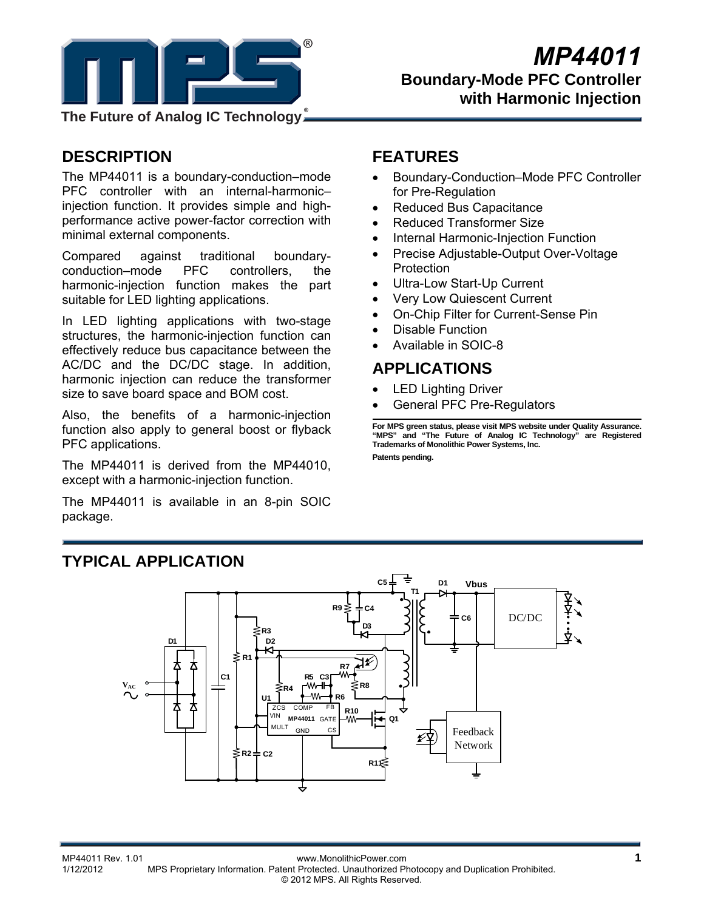

**The Future of Analog IC Technology**

# **DESCRIPTION**

The MP44011 is a boundary-conduction–mode PFC controller with an internal-harmonic– injection function. It provides simple and highperformance active power-factor correction with minimal external components.

Compared against traditional boundaryconduction–mode PFC controllers, the harmonic-injection function makes the part suitable for LED lighting applications.

In LED lighting applications with two-stage structures, the harmonic-injection function can effectively reduce bus capacitance between the AC/DC and the DC/DC stage. In addition, harmonic injection can reduce the transformer size to save board space and BOM cost.

Also, the benefits of a harmonic-injection function also apply to general boost or flyback PFC applications.

The MP44011 is derived from the MP44010, except with a harmonic-injection function.

The MP44011 is available in an 8-pin SOIC package.

# **FEATURES**

- Boundary-Conduction–Mode PFC Controller for Pre-Regulation
- Reduced Bus Capacitance
- Reduced Transformer Size
- Internal Harmonic-Injection Function
- Precise Adjustable-Output Over-Voltage **Protection**
- Ultra-Low Start-Up Current
- Very Low Quiescent Current
- On-Chip Filter for Current-Sense Pin
- Disable Function
- Available in SOIC-8

### **APPLICATIONS**

- LED Lighting Driver
- General PFC Pre-Regulators

**For MPS green status, please visit MPS website under Quality Assurance. "MPS" and "The Future of Analog IC Technology" are Registered Trademarks of Monolithic Power Systems, Inc.** 

**Patents pending.** 



# **TYPICAL APPLICATION**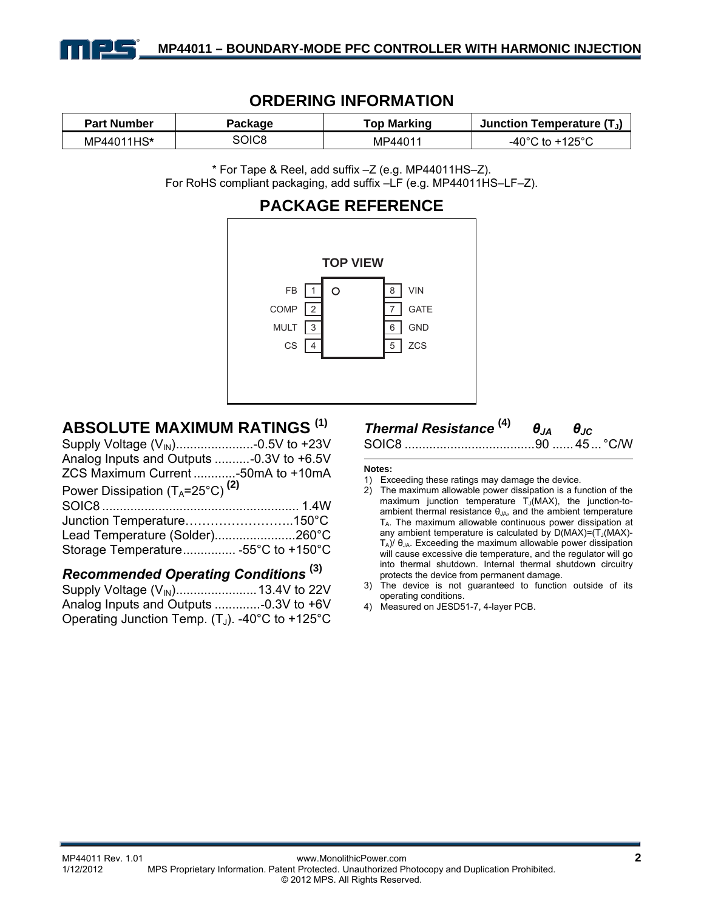

### **ORDERING INFORMATION**

| <b>Part Number</b> | Package | Top Marking | Junction Temperature $(T_J)$ |
|--------------------|---------|-------------|------------------------------|
| MP44011HS*         | SOIC8   | MP44011     | $+125^{\circ}$<br>-40°C to   |

\* For Tape & Reel, add suffix –Z (e.g. MP44011HS–Z). For RoHS compliant packaging, add suffix –LF (e.g. MP44011HS–LF–Z).

### **PACKAGE REFERENCE**



# **ABSOLUTE MAXIMUM RATINGS (1)**

| Analog Inputs and Outputs -0.3V to +6.5V    |  |
|---------------------------------------------|--|
| ZCS Maximum Current -50mA to +10mA          |  |
| Power Dissipation $(T_A=25^{\circ}C)^{(2)}$ |  |
|                                             |  |
| Junction Temperature150°C                   |  |
| Lead Temperature (Solder)260°C              |  |
| Storage Temperature -55°C to +150°C         |  |
|                                             |  |

# *Recommended Operating Conditions* **(3)**

Supply Voltage (VIN) ....................... 13.4V to 22V Analog Inputs and Outputs ............. -0.3V to +6V Operating Junction Temp.  $(T_J)$ . -40°C to +125°C

# *Thermal Resistance* **(4)** *θJA θJC*

#### SOIC8 ..................................... 90 ...... 45 ... °C/W

#### **Notes:**

- 1) Exceeding these ratings may damage the device.
- 2) The maximum allowable power dissipation is a function of the maximum junction temperature  $T_J(MAX)$ , the junction-toambient thermal resistance  $\theta_{JA}$ , and the ambient temperature  $T_A$ . The maximum allowable continuous power dissipation at any ambient temperature is calculated by  $D(MAX)=(T_J(MAX)-T_J(MAX))$  $T_A$ )/  $\theta_{JA}$ . Exceeding the maximum allowable power dissipation will cause excessive die temperature, and the regulator will go into thermal shutdown. Internal thermal shutdown circuitry protects the device from permanent damage.
- 3) The device is not guaranteed to function outside of its operating conditions.
- 4) Measured on JESD51-7, 4-layer PCB.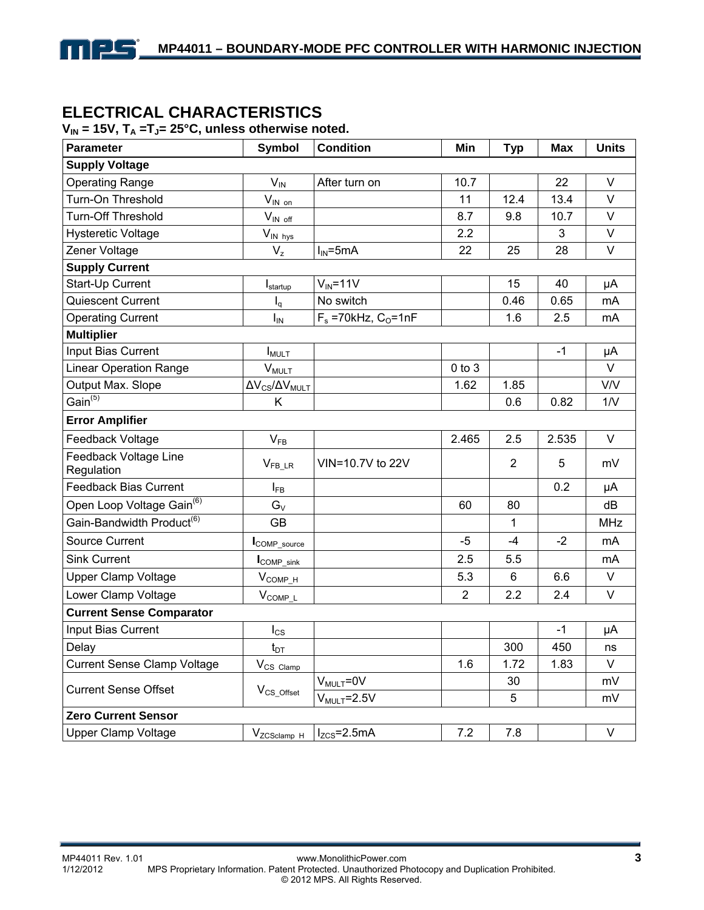# **ELECTRICAL CHARACTERISTICS**

npg

#### $V_{IN}$  = 15V,  $T_A$  = T<sub>J</sub> = 25<sup>°</sup>C, unless otherwise noted.

| Parameter                             | <b>Symbol</b>                   | <b>Condition</b>                    | Min            | <b>Typ</b>     | <b>Max</b> | <b>Units</b> |  |
|---------------------------------------|---------------------------------|-------------------------------------|----------------|----------------|------------|--------------|--|
| <b>Supply Voltage</b>                 |                                 |                                     |                |                |            |              |  |
| <b>Operating Range</b>                | $V_{IN}$                        | After turn on                       | 10.7           |                | 22         | V            |  |
| Turn-On Threshold                     | $V_{IN \text{ on }}$            |                                     | 11             | 12.4           | 13.4       | $\vee$       |  |
| <b>Turn-Off Threshold</b>             | $V_{\text{IN off}}$             |                                     | 8.7            | 9.8            | 10.7       | $\vee$       |  |
| <b>Hysteretic Voltage</b>             | $V_{IN\;hys}$                   |                                     | 2.2            |                | 3          | $\vee$       |  |
| Zener Voltage                         | $V_{z}$                         | $I_{IN} = 5mA$                      | 22             | 25             | 28         | V            |  |
| <b>Supply Current</b>                 |                                 |                                     |                |                |            |              |  |
| Start-Up Current                      | $I_{\text{startup}}$            | $V_{IN} = 11V$                      |                | 15             | 40         | μA           |  |
| Quiescent Current                     | $I_q$                           | No switch                           |                | 0.46           | 0.65       | mA           |  |
| <b>Operating Current</b>              | I <sub>IN</sub>                 | $F_s = 70$ kHz, C <sub>O</sub> =1nF |                | 1.6            | 2.5        | mA           |  |
| <b>Multiplier</b>                     |                                 |                                     |                |                |            |              |  |
| Input Bias Current                    | $I_{MULT}$                      |                                     |                |                | $-1$       | μA           |  |
| <b>Linear Operation Range</b>         | <b>V<sub>MULT</sub></b>         |                                     | $0$ to $3$     |                |            | V            |  |
| Output Max. Slope                     | $\Delta V_{CS}/\Delta V_{MULT}$ |                                     | 1.62           | 1.85           |            | V/V          |  |
| Gain $\overline{^{(5)}}$              | Κ                               |                                     |                | 0.6            | 0.82       | 1/V          |  |
| <b>Error Amplifier</b>                |                                 |                                     |                |                |            |              |  |
| Feedback Voltage                      | $V_{FB}$                        |                                     | 2.465          | 2.5            | 2.535      | $\vee$       |  |
| Feedback Voltage Line<br>Regulation   | $V_{\text{FB\_LR}}$             | VIN=10.7V to 22V                    |                | $\overline{2}$ | 5          | mV           |  |
| <b>Feedback Bias Current</b>          | $I_{FB}$                        |                                     |                |                | 0.2        | μA           |  |
| Open Loop Voltage Gain <sup>(6)</sup> | $G_V$                           |                                     | 60             | 80             |            | dB           |  |
| Gain-Bandwidth Product <sup>(6)</sup> | GB                              |                                     |                | 1              |            | <b>MHz</b>   |  |
| Source Current                        | COMP_source                     |                                     | $-5$           | $-4$           | $-2$       | mA           |  |
| <b>Sink Current</b>                   | COMP_sink                       |                                     | 2.5            | 5.5            |            | mA           |  |
| <b>Upper Clamp Voltage</b>            | $V_{COMP\_H}$                   |                                     | 5.3            | 6              | 6.6        | $\vee$       |  |
| Lower Clamp Voltage                   | $V_{COMP\_L}$                   |                                     | $\overline{2}$ | 2.2            | 2.4        | V            |  |
| <b>Current Sense Comparator</b>       |                                 |                                     |                |                |            |              |  |
| Input Bias Current                    | $I_{CS}$                        |                                     |                |                | $-1$       | μA           |  |
| Delay                                 | $t_{DT}$                        |                                     |                | 300            | 450        | ns           |  |
| <b>Current Sense Clamp Voltage</b>    | V <sub>CS</sub> Clamp           |                                     | 1.6            | 1.72           | 1.83       | V            |  |
| <b>Current Sense Offset</b>           | $V_{CS\_Offset}$                | $V_{MULT} = 0V$                     |                | 30             |            | mV           |  |
|                                       |                                 | $V_{MULT} = 2.5V$                   |                | 5              |            | mV           |  |
| <b>Zero Current Sensor</b>            |                                 |                                     |                |                |            |              |  |
| <b>Upper Clamp Voltage</b>            | V <sub>ZCSclamp</sub> H         | $I_{ZCS}$ =2.5mA                    | 7.2            | 7.8            |            | V            |  |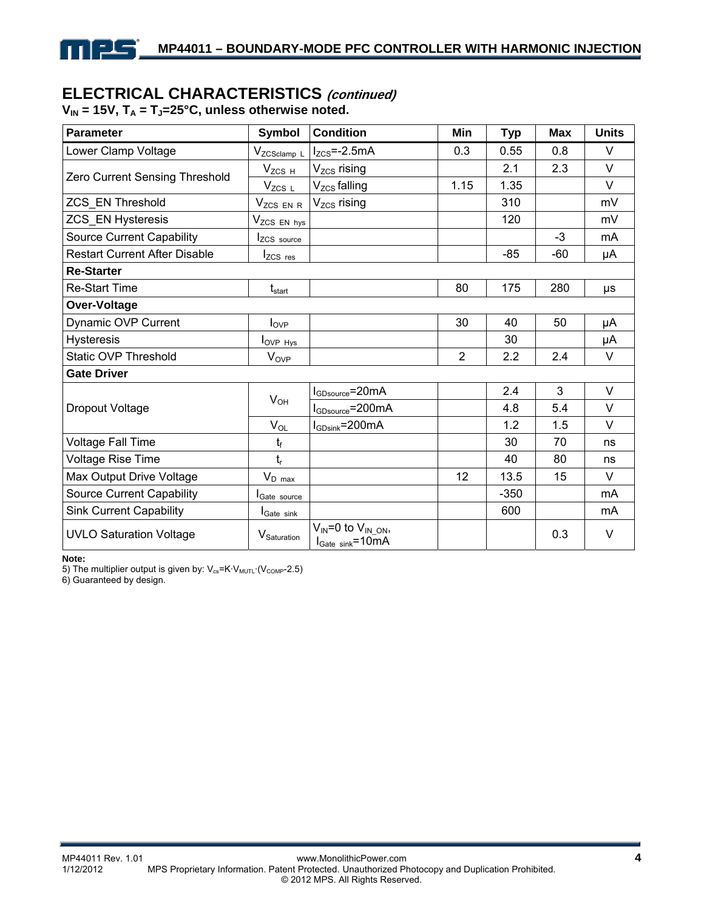# **ELECTRICAL CHARACTERISTICS (continued)**

V<sub>IN</sub> = 15V, T<sub>A</sub> = T<sub>J</sub>=25°C, unless otherwise noted.

<u>- 15</u>

| <b>Parameter</b>                     | <b>Symbol</b>                 | <b>Condition</b>                                                                  | Min            | <b>Typ</b> | <b>Max</b> | <b>Units</b> |
|--------------------------------------|-------------------------------|-----------------------------------------------------------------------------------|----------------|------------|------------|--------------|
| Lower Clamp Voltage                  | V <sub>ZCSclamp</sub> L       | $I_{ZCS}$ =-2.5mA                                                                 | 0.3            | 0.55       | 0.8        | V            |
|                                      | $V_{ZCS H}$                   | $V_{ZCS}$ rising                                                                  |                | 2.1        | 2.3        | $\vee$       |
| Zero Current Sensing Threshold       | $V_{ZCS~L}$                   | $V_{ZCS}$ falling                                                                 | 1.15           | 1.35       |            | $\vee$       |
| ZCS_EN Threshold                     | V <sub>ZCS</sub> EN R         | V <sub>zcs</sub> rising                                                           |                | 310        |            | mV           |
| <b>ZCS_EN Hysteresis</b>             | V <sub>ZCS</sub> EN hys       |                                                                                   |                | 120        |            | mV           |
| <b>Source Current Capability</b>     | Izcs source                   |                                                                                   |                |            | $-3$       | mA           |
| <b>Restart Current After Disable</b> | $I_{ZCS}$ res                 |                                                                                   |                | $-85$      | -60        | μA           |
| <b>Re-Starter</b>                    |                               |                                                                                   |                |            |            |              |
| <b>Re-Start Time</b>                 | $\mathsf{t}_{\mathsf{start}}$ |                                                                                   | 80             | 175        | 280        | μs           |
| Over-Voltage                         |                               |                                                                                   |                |            |            |              |
| Dynamic OVP Current                  | $I_{OVP}$                     |                                                                                   | 30             | 40         | 50         | μA           |
| <b>Hysteresis</b>                    | $I_{OVP\ Hys}$                |                                                                                   |                | 30         |            | μA           |
| <b>Static OVP Threshold</b>          | <b>V<sub>OVP</sub></b>        |                                                                                   | $\overline{2}$ | 2.2        | 2.4        | V            |
| <b>Gate Driver</b>                   |                               |                                                                                   |                |            |            |              |
|                                      | $V_{OH}$                      | $I_{\text{GDsource}}$ =20mA                                                       |                | 2.4        | 3          | $\vee$       |
| Dropout Voltage                      |                               | $I_{GDsource} = 200mA$                                                            |                | 4.8        | 5.4        | V            |
|                                      | $V_{OL}$                      | $I_{\text{GDsink}}$ =200mA                                                        |                | 1.2        | 1.5        | $\vee$       |
| Voltage Fall Time                    | $t_f$                         |                                                                                   |                | 30         | 70         | ns           |
| Voltage Rise Time                    | $t_{r}$                       |                                                                                   |                | 40         | 80         | ns           |
| Max Output Drive Voltage             | $V_{D \, max}$                |                                                                                   | 12             | 13.5       | 15         | V            |
| <b>Source Current Capability</b>     | <b>I</b> Gate source          |                                                                                   |                | $-350$     |            | mA           |
| <b>Sink Current Capability</b>       | <b>I</b> Gate sink            |                                                                                   |                | 600        |            | mA           |
| <b>UVLO Saturation Voltage</b>       | V <sub>Saturation</sub>       | $V_{IN} = 0$ to $V_{IN}$ <sub>ON</sub> ,<br>$I_{\text{Gate sink}} = 10 \text{mA}$ |                |            | 0.3        | V            |

**Note:** 

5) The multiplier output is given by:  $V_{cs}$ =K·V<sub>MUTL</sub>·(V<sub>COMP</sub>-2.5)

6) Guaranteed by design.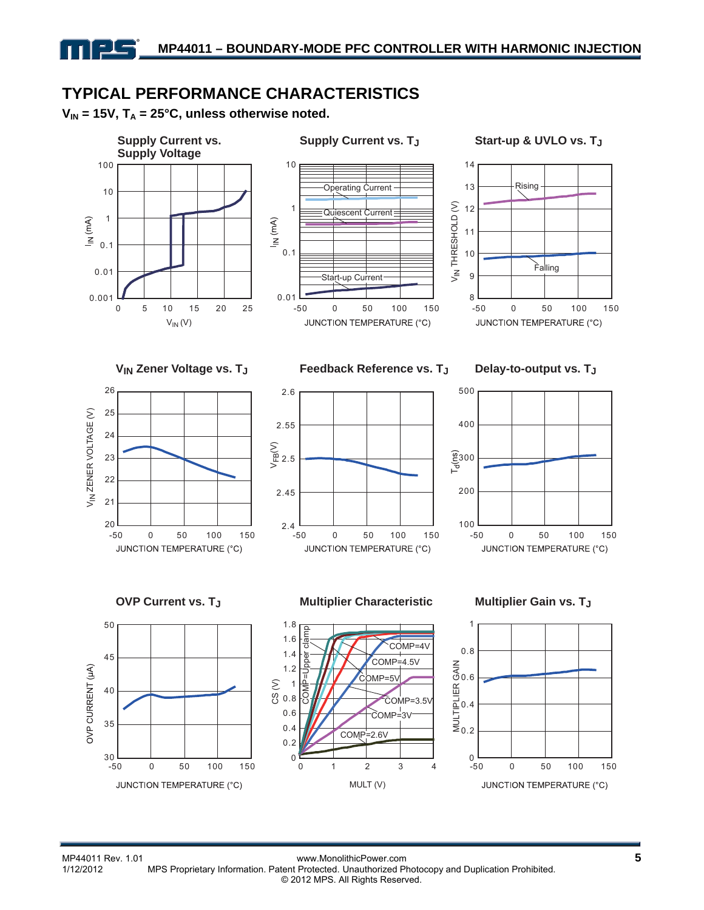# **TYPICAL PERFORMANCE CHARACTERISTICS**

 $V_{IN}$  = 15V,  $T_A$  = 25°C, unless otherwise noted.





#### Supply Current vs. T<sub>J</sub> Start-up & UVLO vs. T<sub>J</sub>





**VIN Zener Voltage vs. TJ Feedback Reference vs. TJ Delay-to-output vs. TJ**









#### **OVP Current vs. TJ Multiplier Characteristic Multiplier Gain vs. TJ**



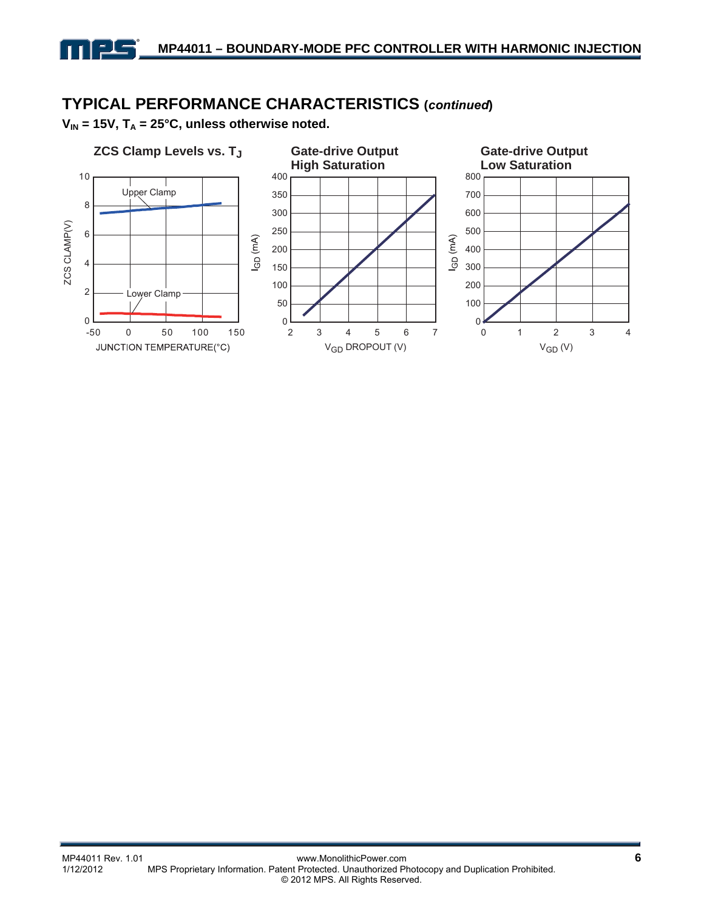# **TYPICAL PERFORMANCE CHARACTERISTICS (***continued***)**

V<sub>IN</sub> = 15V, T<sub>A</sub> = 25°C, unless otherwise noted.

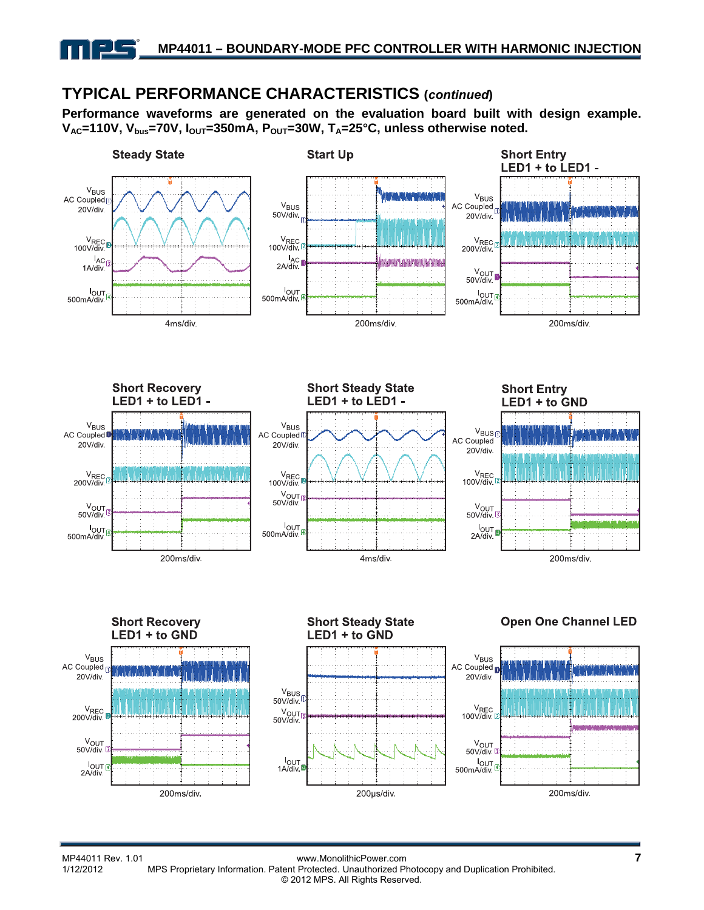# **TYPICAL PERFORMANCE CHARACTERISTICS (***continued***)**

**Performance waveforms are generated on the evaluation board built with design example.**  V<sub>AC</sub>=110V, V<sub>bus</sub>=70V, I<sub>OUT</sub>=350mA, P<sub>OUT</sub>=30W, T<sub>A</sub>=25°C, unless otherwise noted.



200µs/div.

200ms/div.

200ms/div.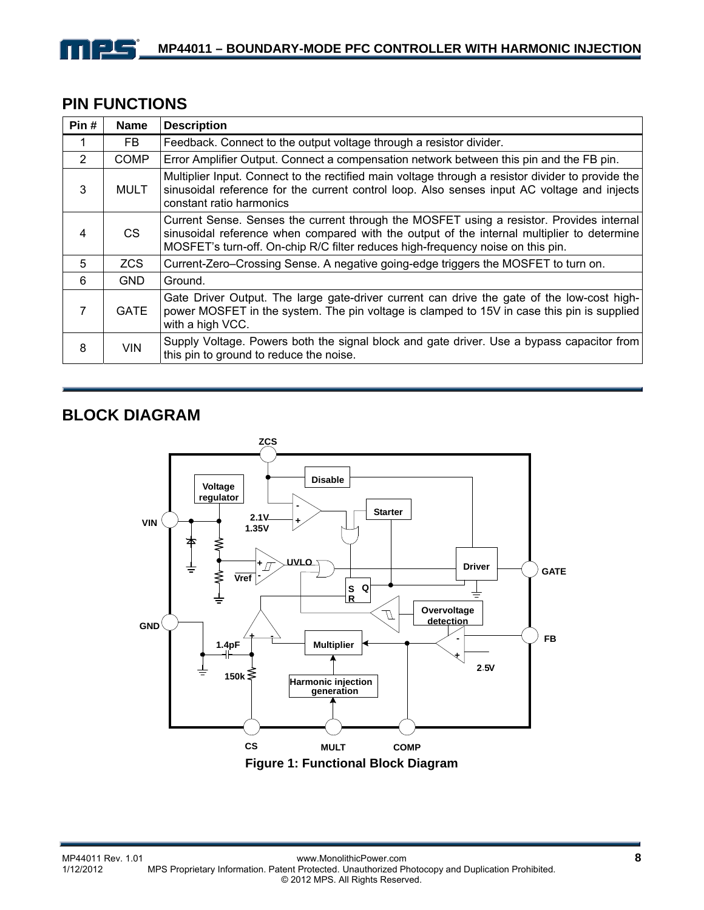# **PIN FUNCTIONS**

| Pin#           | <b>Name</b> | <b>Description</b>                                                                                                                                                                                                                                                        |
|----------------|-------------|---------------------------------------------------------------------------------------------------------------------------------------------------------------------------------------------------------------------------------------------------------------------------|
|                | FB.         | Feedback. Connect to the output voltage through a resistor divider.                                                                                                                                                                                                       |
| $\overline{2}$ | <b>COMP</b> | Error Amplifier Output. Connect a compensation network between this pin and the FB pin.                                                                                                                                                                                   |
| 3              | <b>MULT</b> | Multiplier Input. Connect to the rectified main voltage through a resistor divider to provide the<br>sinusoidal reference for the current control loop. Also senses input AC voltage and injects<br>constant ratio harmonics                                              |
| 4              | CS.         | Current Sense. Senses the current through the MOSFET using a resistor. Provides internal<br>sinusoidal reference when compared with the output of the internal multiplier to determine<br>MOSFET's turn-off. On-chip R/C filter reduces high-frequency noise on this pin. |
| 5              | <b>ZCS</b>  | Current-Zero–Crossing Sense. A negative going-edge triggers the MOSFET to turn on.                                                                                                                                                                                        |
| 6              | <b>GND</b>  | Ground.                                                                                                                                                                                                                                                                   |
| 7              | <b>GATE</b> | Gate Driver Output. The large gate-driver current can drive the gate of the low-cost high-<br>power MOSFET in the system. The pin voltage is clamped to 15V in case this pin is supplied<br>with a high VCC.                                                              |
| 8              | <b>VIN</b>  | Supply Voltage. Powers both the signal block and gate driver. Use a bypass capacitor from<br>this pin to ground to reduce the noise.                                                                                                                                      |

# **BLOCK DIAGRAM**

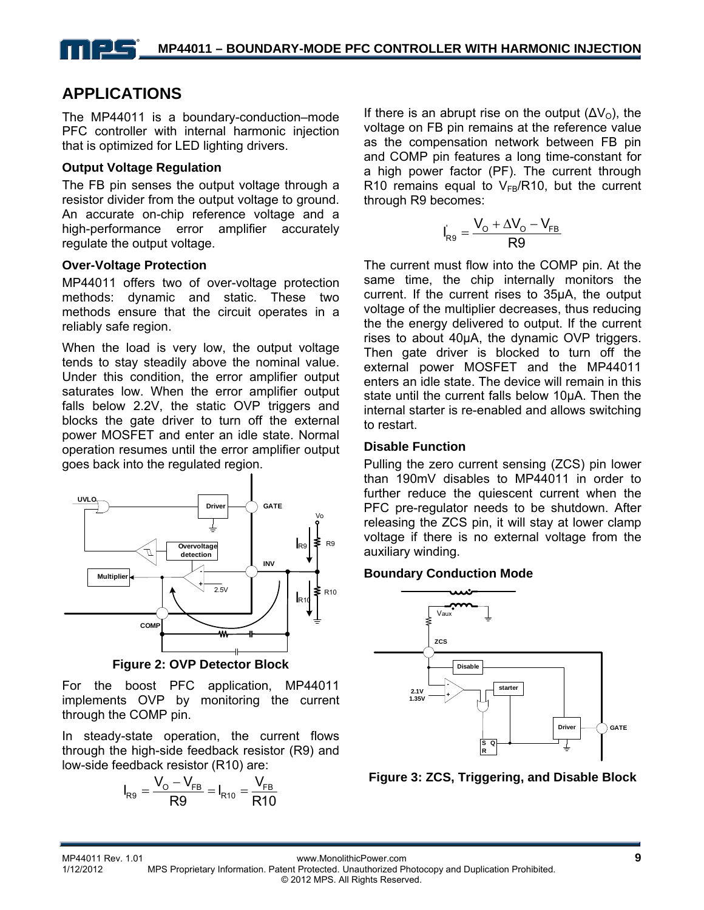# **APPLICATIONS**

The MP44011 is a boundary-conduction–mode PFC controller with internal harmonic injection that is optimized for LED lighting drivers.

#### **Output Voltage Regulation**

The FB pin senses the output voltage through a resistor divider from the output voltage to ground. An accurate on-chip reference voltage and a high-performance error amplifier accurately regulate the output voltage.

#### **Over-Voltage Protection**

MP44011 offers two of over-voltage protection methods: dynamic and static. These two methods ensure that the circuit operates in a reliably safe region.

When the load is very low, the output voltage tends to stay steadily above the nominal value. Under this condition, the error amplifier output saturates low. When the error amplifier output falls below 2.2V, the static OVP triggers and blocks the gate driver to turn off the external power MOSFET and enter an idle state. Normal operation resumes until the error amplifier output goes back into the regulated region.



**Figure 2: OVP Detector Block** 

For the boost PFC application, MP44011 implements OVP by monitoring the current through the COMP pin.

In steady-state operation, the current flows through the high-side feedback resistor (R9) and low-side feedback resistor (R10) are:

$$
I_{R9} = \frac{V_{O} - V_{FB}}{R9} = I_{R10} = \frac{V_{FB}}{R10}
$$

If there is an abrupt rise on the output  $(\Delta V_0)$ , the voltage on FB pin remains at the reference value as the compensation network between FB pin and COMP pin features a long time-constant for a high power factor (PF). The current through R10 remains equal to  $V_{FB}/R10$ , but the current through R9 becomes:

$$
I_{R9}^{'}=\frac{V_{\text{O}}+\Delta V_{\text{O}}-V_{\text{FB}}}{R9}
$$

The current must flow into the COMP pin. At the same time, the chip internally monitors the current. If the current rises to 35µA, the output voltage of the multiplier decreases, thus reducing the the energy delivered to output. If the current rises to about 40µA, the dynamic OVP triggers. Then gate driver is blocked to turn off the external power MOSFET and the MP44011 enters an idle state. The device will remain in this state until the current falls below 10µA. Then the internal starter is re-enabled and allows switching to restart.

#### **Disable Function**

Pulling the zero current sensing (ZCS) pin lower than 190mV disables to MP44011 in order to further reduce the quiescent current when the PFC pre-regulator needs to be shutdown. After releasing the ZCS pin, it will stay at lower clamp voltage if there is no external voltage from the auxiliary winding.

#### **Boundary Conduction Mode**



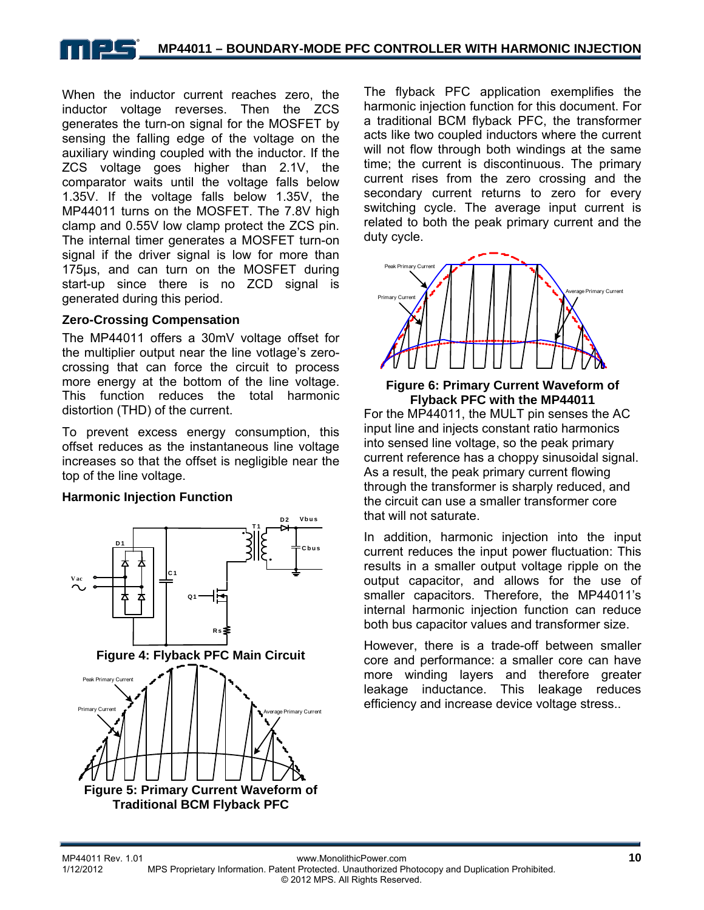### **MP44011 – BOUNDARY-MODE PFC CONTROLLER WITH HARMONIC INJECTION**

When the inductor current reaches zero, the inductor voltage reverses. Then the ZCS generates the turn-on signal for the MOSFET by sensing the falling edge of the voltage on the auxiliary winding coupled with the inductor. If the ZCS voltage goes higher than 2.1V, the comparator waits until the voltage falls below 1.35V. If the voltage falls below 1.35V, the MP44011 turns on the MOSFET. The 7.8V high clamp and 0.55V low clamp protect the ZCS pin. The internal timer generates a MOSFET turn-on signal if the driver signal is low for more than 175µs, and can turn on the MOSFET during start-up since there is no ZCD signal is generated during this period.

#### **Zero-Crossing Compensation**

The MP44011 offers a 30mV voltage offset for the multiplier output near the line votlage's zerocrossing that can force the circuit to process more energy at the bottom of the line voltage. This function reduces the total harmonic distortion (THD) of the current.

To prevent excess energy consumption, this offset reduces as the instantaneous line voltage increases so that the offset is negligible near the top of the line voltage.

#### **Harmonic Injection Function**



The flyback PFC application exemplifies the harmonic injection function for this document. For a traditional BCM flyback PFC, the transformer acts like two coupled inductors where the current will not flow through both windings at the same time; the current is discontinuous. The primary current rises from the zero crossing and the secondary current returns to zero for every switching cycle. The average input current is related to both the peak primary current and the duty cycle.



#### **Figure 6: Primary Current Waveform of Flyback PFC with the MP44011**

For the MP44011, the MULT pin senses the AC input line and injects constant ratio harmonics into sensed line voltage, so the peak primary current reference has a choppy sinusoidal signal. As a result, the peak primary current flowing through the transformer is sharply reduced, and the circuit can use a smaller transformer core that will not saturate.

In addition, harmonic injection into the input current reduces the input power fluctuation: This results in a smaller output voltage ripple on the output capacitor, and allows for the use of smaller capacitors. Therefore, the MP44011's internal harmonic injection function can reduce both bus capacitor values and transformer size.

However, there is a trade-off between smaller core and performance: a smaller core can have more winding layers and therefore greater leakage inductance. This leakage reduces efficiency and increase device voltage stress..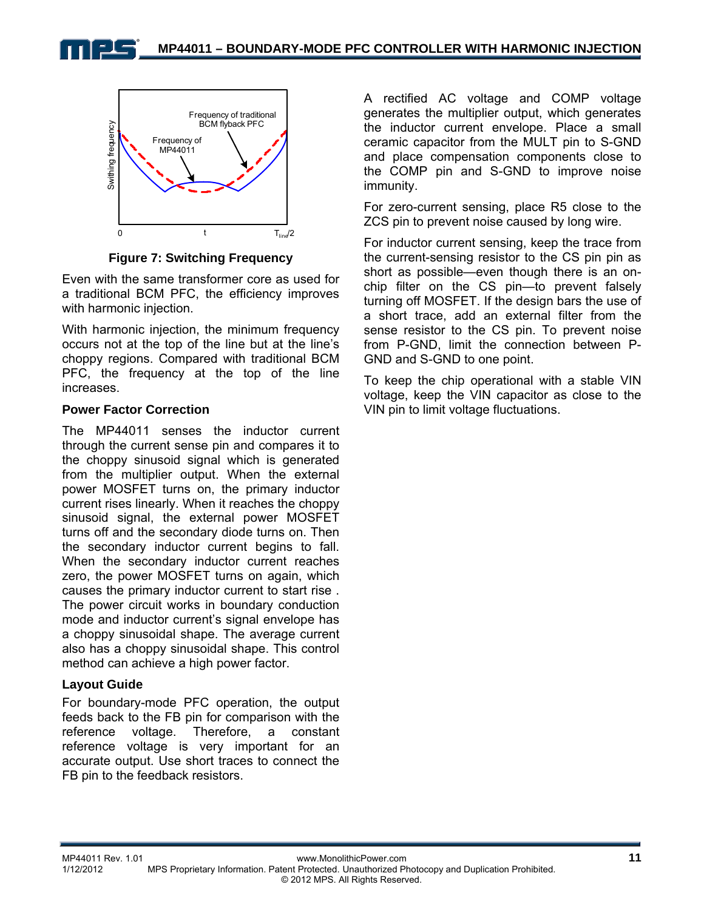



**Figure 7: Switching Frequency** 

Even with the same transformer core as used for a traditional BCM PFC, the efficiency improves with harmonic injection.

With harmonic injection, the minimum frequency occurs not at the top of the line but at the line's choppy regions. Compared with traditional BCM PFC, the frequency at the top of the line increases.

### **Power Factor Correction**

The MP44011 senses the inductor current through the current sense pin and compares it to the choppy sinusoid signal which is generated from the multiplier output. When the external power MOSFET turns on, the primary inductor current rises linearly. When it reaches the choppy sinusoid signal, the external power MOSFET turns off and the secondary diode turns on. Then the secondary inductor current begins to fall. When the secondary inductor current reaches zero, the power MOSFET turns on again, which causes the primary inductor current to start rise . The power circuit works in boundary conduction mode and inductor current's signal envelope has a choppy sinusoidal shape. The average current also has a choppy sinusoidal shape. This control method can achieve a high power factor.

#### **Layout Guide**

For boundary-mode PFC operation, the output feeds back to the FB pin for comparison with the reference voltage. Therefore, a constant reference voltage is very important for an accurate output. Use short traces to connect the FB pin to the feedback resistors.

A rectified AC voltage and COMP voltage generates the multiplier output, which generates the inductor current envelope. Place a small ceramic capacitor from the MULT pin to S-GND and place compensation components close to the COMP pin and S-GND to improve noise immunity.

For zero-current sensing, place R5 close to the ZCS pin to prevent noise caused by long wire.

For inductor current sensing, keep the trace from the current-sensing resistor to the CS pin pin as short as possible—even though there is an onchip filter on the CS pin—to prevent falsely turning off MOSFET. If the design bars the use of a short trace, add an external filter from the sense resistor to the CS pin. To prevent noise from P-GND, limit the connection between P-GND and S-GND to one point.

To keep the chip operational with a stable VIN voltage, keep the VIN capacitor as close to the VIN pin to limit voltage fluctuations.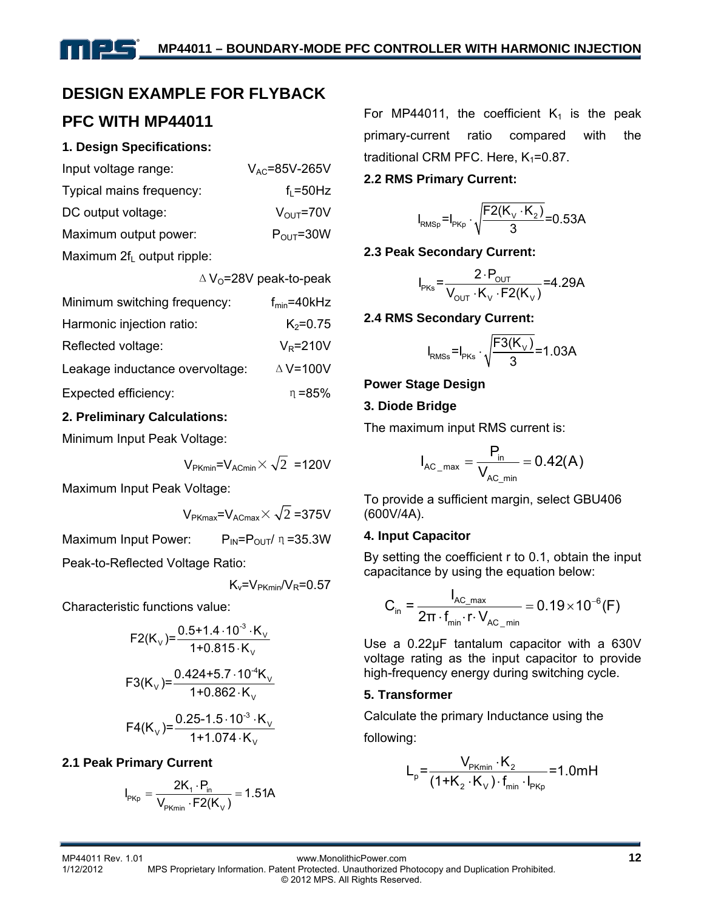# **DESIGN EXAMPLE FOR FLYBACK**

# **PFC WITH MP44011**

### **1. Design Specifications:**

| Input voltage range:          | $V_{AC}$ =85V-265V     |
|-------------------------------|------------------------|
| Typical mains frequency:      | $f1 = 50$ Hz           |
| DC output voltage:            | $V_{\text{OUT}}$ =70V  |
| Maximum output power:         | $P_{\text{OUT}} = 30W$ |
| Maximum $2f_L$ output ripple: |                        |

|                                 | $\Delta$ V <sub>0</sub> =28V peak-to-peak |
|---------------------------------|-------------------------------------------|
| Minimum switching frequency:    | $f_{min} = 40kHz$                         |
| Harmonic injection ratio:       | $K_2 = 0.75$                              |
| Reflected voltage:              | $V_R = 210V$                              |
| Leakage inductance overvoltage: | $\triangle$ V=100V                        |
| Expected efficiency:            | $n = 85%$                                 |

### **2. Preliminary Calculations:**

Minimum Input Peak Voltage:

$$
V_{PKmin}
$$
= $V_{ACmin}$   $\times \sqrt{2}$  =120V

Maximum Input Peak Voltage:

$$
V_{PKmax}
$$
= $V_{ACmax}$  $\times \sqrt{2}$  =375V

Maximum Input Power:  $P_{IN}=P_{OUT}/\eta=35.3W$ 

Peak-to-Reflected Voltage Ratio:

$$
K_v = V_{PKmin}/V_R = 0.57
$$

Characteristic functions value:

$$
F2(K_v) = \frac{0.5 + 1.4 \cdot 10^{-3} \cdot K_v}{1 + 0.815 \cdot K_v}
$$

$$
F3(K_v) = \frac{0.424 + 5.7 \cdot 10^{-4} K_v}{1 + 0.862 \cdot K_v}
$$

$$
F4(K_v) = \frac{0.25 - 1.5 \cdot 10^{-3} \cdot K_v}{1 + 1.074 \cdot K_v}
$$

### **2.1 Peak Primary Current**

$$
I_{PKp} = \frac{2K_1 \cdot P_{in}}{V_{PKmin} \cdot F2(K_V)} = 1.51A
$$

For MP44011, the coefficient  $K_1$  is the peak primary-current ratio compared with the traditional CRM PFC. Here,  $K_1 = 0.87$ .

### **2.2 RMS Primary Current:**

$$
I_{RMSp} = I_{PKp} \cdot \sqrt{\frac{F2(K_v \cdot K_2)}{3}} = 0.53A
$$

### **2.3 Peak Secondary Current:**

$$
I_{PKS} = \frac{2 \cdot P_{OUT}}{V_{OUT} \cdot K_v \cdot F2(K_v)} = 4.29A
$$

### **2.4 RMS Secondary Current:**

$$
I_{\text{RMSs}} = I_{\text{PKs}} \cdot \sqrt{\frac{F3(K_{\vee})}{3}} = 1.03A
$$

**Power Stage Design** 

### **3. Diode Bridge**

The maximum input RMS current is:

$$
I_{AC\_max} = \frac{P_{in}}{V_{AC\_min}} = 0.42(A)
$$

To provide a sufficient margin, select GBU406 (600V/4A).

### **4. Input Capacitor**

By setting the coefficient r to 0.1, obtain the input capacitance by using the equation below:

$$
C_{\text{in}} = \frac{I_{AC\_max}}{2\pi \cdot f_{\text{min}} \cdot r \cdot V_{AC\_min}} = 0.19 \times 10^{-6} (F)
$$

Use a 0.22μF tantalum capacitor with a 630V voltage rating as the input capacitor to provide high-frequency energy during switching cycle.

### **5. Transformer**

Calculate the primary Inductance using the

following:

$$
L_{p} = \frac{V_{p_{Kmin}} \cdot K_{2}}{(1 + K_{2} \cdot K_{V}) \cdot f_{min} \cdot I_{p_{Kp}}} = 1.0 \text{mH}
$$

MP44011 Rev. 1.01 www.MonolithicPower.com **12** MPS Proprietary Information. Patent Protected. Unauthorized Photocopy and Duplication Prohibited.

© 2012 MPS. All Rights Reserved.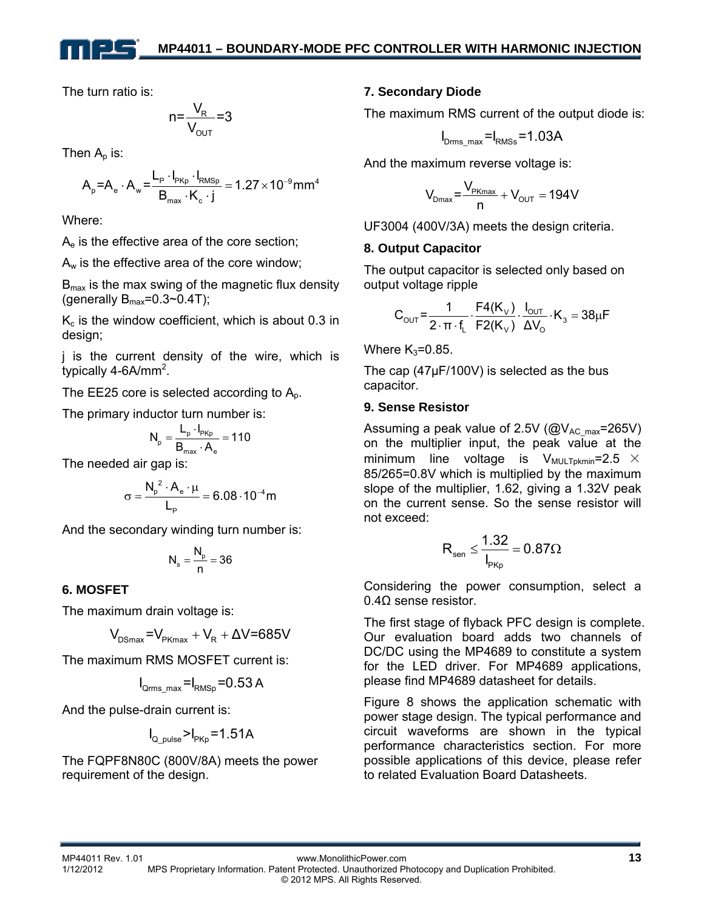The turn ratio is:

$$
n = \frac{V_R}{V_{\text{OUT}}} = 3
$$

Then  $A_n$  is:

$$
A_p = A_e \cdot A_w = \frac{L_p \cdot I_{PKp} \cdot I_{RMSp}}{B_{max} \cdot K_c \cdot j} = 1.27 \times 10^{-9} mm^4
$$

Where:

 $A<sub>e</sub>$  is the effective area of the core section;

 $A_w$  is the effective area of the core window;

 $B<sub>max</sub>$  is the max swing of the magnetic flux density (generally  $B_{\text{max}}=0.3 \sim 0.4$ T);

 $K<sub>c</sub>$  is the window coefficient, which is about 0.3 in design;

j is the current density of the wire, which is typically 4-6A/mm<sup>2</sup>.

The EE25 core is selected according to  $A<sub>o</sub>$ .

The primary inductor turn number is:

$$
N_{\rm p} = \frac{L_{\rm p} \cdot I_{\rm pKp}}{B_{\rm max} \cdot A_{\rm e}} = 110
$$

The needed air gap is:

$$
\sigma=\frac{N_p^2\cdot A_e\cdot \mu}{L_p}=6.08\cdot 10^{-4}m
$$

And the secondary winding turn number is:

$$
N_s=\frac{N_\mathrm{p}}{n}=36
$$

### **6. MOSFET**

The maximum drain voltage is:

$$
V_{DSmax} = V_{PKmax} + V_R + \Delta V = 685V
$$

The maximum RMS MOSFET current is:

$$
I_{\rm Qrms\_max} = I_{\rm RMSp} = 0.53 \, \rm A
$$

And the pulse-drain current is:

$$
I_{\text{Q\_pulse}} > I_{\text{PKp}} = 1.51A
$$

The FQPF8N80C (800V/8A) meets the power requirement of the design.

### **7. Secondary Diode**

The maximum RMS current of the output diode is:

$$
I_{\text{Drms\_max}} = I_{\text{RMSs}} = 1.03A
$$

And the maximum reverse voltage is:

$$
V_{Dmax} = \frac{V_{PKmax}}{n} + V_{OUT} = 194V
$$

UF3004 (400V/3A) meets the design criteria.

### **8. Output Capacitor**

The output capacitor is selected only based on output voltage ripple

$$
C_{\text{OUT}} = \frac{1}{2 \cdot \pi \cdot f_{L}} \cdot \frac{F4(K_{V})}{F2(K_{V})} \cdot \frac{I_{\text{OUT}}}{\Delta V_{O}} \cdot K_{3} = 38 \mu F
$$

Where  $K_3=0.85$ .

The cap (47μF/100V) is selected as the bus capacitor.

### **9. Sense Resistor**

Assuming a peak value of 2.5V ( $@V_{AC}$ <sub>max</sub>=265V) on the multiplier input, the peak value at the minimum line voltage is  $V_{\text{MULTDKmin}} = 2.5 \times$ 85/265=0.8V which is multiplied by the maximum slope of the multiplier, 1.62, giving a 1.32V peak on the current sense. So the sense resistor will not exceed:

$$
R_{sen} \leq \frac{1.32}{I_{PKp}} = 0.87 \Omega
$$

Considering the power consumption, select a 0.4Ω sense resistor.

The first stage of flyback PFC design is complete. Our evaluation board adds two channels of DC/DC using the MP4689 to constitute a system for the LED driver. For MP4689 applications, please find MP4689 datasheet for details.

Figure 8 shows the application schematic with power stage design. The typical performance and circuit waveforms are shown in the typical performance characteristics section. For more possible applications of this device, please refer to related Evaluation Board Datasheets.

MP44011 Rev. 1.01 www.MonolithicPower.com **13** MPS Proprietary Information. Patent Protected. Unauthorized Photocopy and Duplication Prohibited. © 2012 MPS. All Rights Reserved.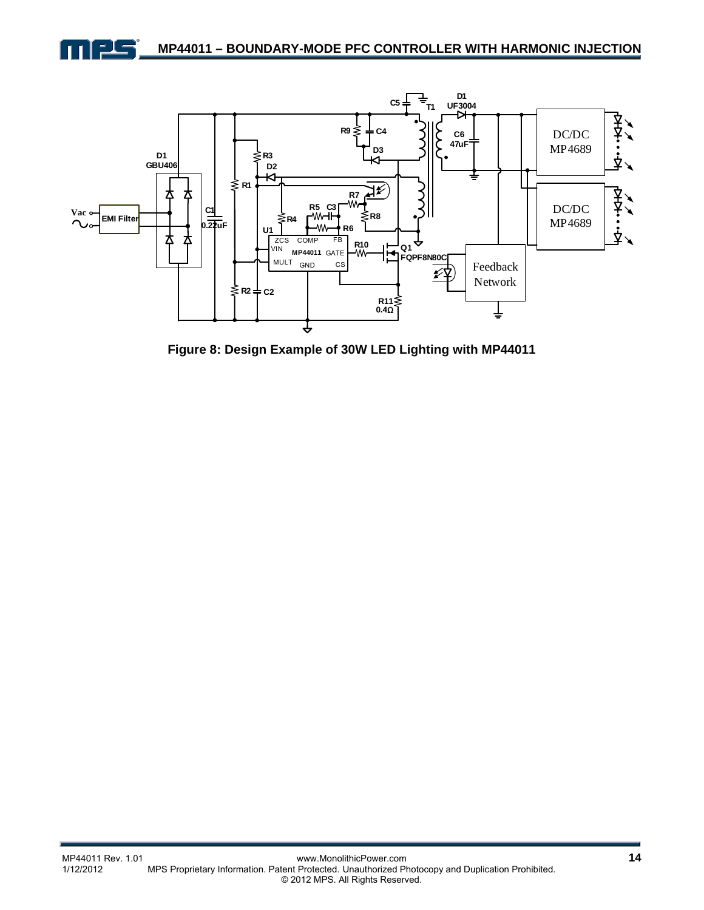



**Figure 8: Design Example of 30W LED Lighting with MP44011**